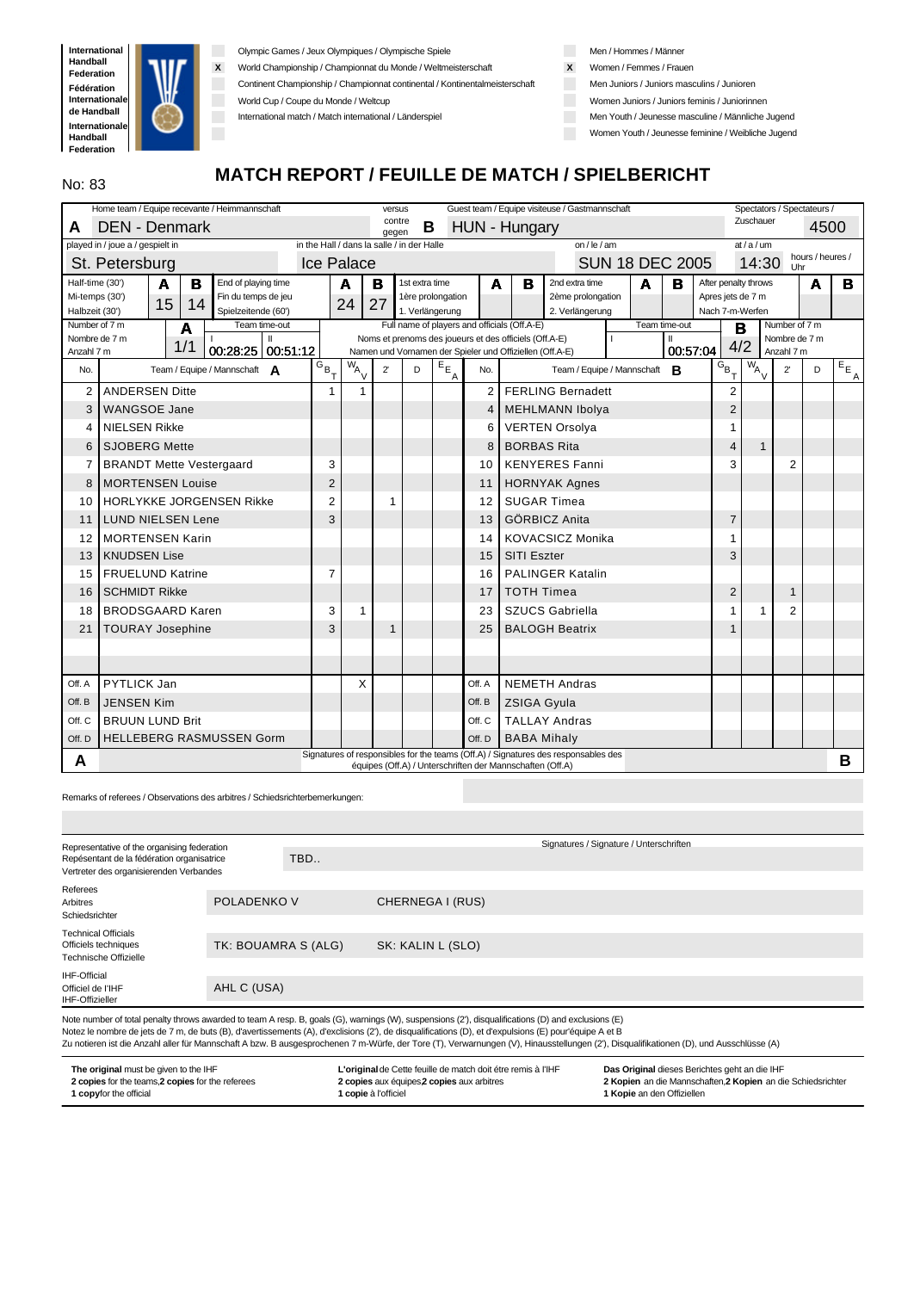

Olympic Games / Jeux Olympiques / Olympische Spiele

**X** World Championship / Championnat du Monde / Weltmeisterschaft

Continent Championship / Championnat continental / Kontinentalmeisterschaft

World Cup / Coupe du Monde / Weltcup

International match / Match international / Länderspiel

Men / Hommes / Männer

**X** Women / Femmes / Frauen

Men Juniors / Juniors masculins / Junioren

Women Juniors / Juniors feminis / Juniorinnen Men Youth / Jeunesse masculine / Männliche Jugend

Women Youth / Jeunesse feminine / Weibliche Jugend

# **MATCH REPORT / FEUILLE DE MATCH / SPIELBERICHT**

|                | Home team / Equipe recevante / Heimmannschaft                            |                                            |                      | versus          |                                      |                                    |                |                                                           | Guest team / Equipe visiteuse / Gastmannschaft                                     |                        |   |               |                                      |              |                | Spectators / Spectateurs / |                          |
|----------------|--------------------------------------------------------------------------|--------------------------------------------|----------------------|-----------------|--------------------------------------|------------------------------------|----------------|-----------------------------------------------------------|------------------------------------------------------------------------------------|------------------------|---|---------------|--------------------------------------|--------------|----------------|----------------------------|--------------------------|
| A              | <b>DEN - Denmark</b>                                                     |                                            |                      | contre<br>gegen | B                                    |                                    |                | HUN - Hungary                                             |                                                                                    |                        |   |               |                                      | Zuschauer    |                | 4500                       |                          |
|                | played in / joue a / gespielt in                                         | in the Hall / dans la salle / in der Halle |                      |                 |                                      |                                    |                |                                                           | on / $le$ / am                                                                     |                        |   |               |                                      | $at/a$ /um   |                |                            |                          |
|                | St. Petersburg                                                           | Ice Palace                                 |                      |                 |                                      |                                    |                |                                                           |                                                                                    | <b>SUN 18 DEC 2005</b> |   |               |                                      | 14:30        | Uhr            | hours / heures /           |                          |
|                | Half-time (30')<br>B<br>End of playing time<br>A                         |                                            | A                    | в               | 1st extra time                       |                                    | A              | B                                                         | 2nd extra time                                                                     |                        | A | в             | After penalty throws                 |              |                | A                          | в                        |
|                | Fin du temps de jeu<br>Mi-temps (30')<br>15<br>14<br>Spielzeitende (60') |                                            | 24                   | 27              | 1ère prolongation<br>1. Verlängerung |                                    |                |                                                           | 2ème prolongation<br>2. Verlängerung                                               |                        |   |               | Apres jets de 7 m<br>Nach 7-m-Werfen |              |                |                            |                          |
| Halbzeit (30') | Number of 7 m<br>Team time-out<br>A                                      |                                            |                      |                 |                                      |                                    |                | Full name of players and officials (Off.A-E)              |                                                                                    |                        |   | Team time-out | B                                    |              | Number of 7 m  |                            |                          |
|                | Nombre de 7 m<br>$\mathbf{I}$                                            |                                            |                      |                 |                                      |                                    |                | Noms et prenoms des joueurs et des officiels (Off.A-E)    |                                                                                    |                        |   |               |                                      |              | Nombre de 7 m  |                            |                          |
| Anzahl 7 m     | 1/1<br>$00:28:25$ 00:51:12                                               |                                            |                      |                 |                                      |                                    |                | Namen und Vornamen der Spieler und Offiziellen (Off.A-E)  |                                                                                    |                        |   | 00:57:04      | 4/2                                  |              | Anzahl 7 m     |                            |                          |
| No.            | Team / Equipe / Mannschaft $\Delta$                                      | $G_{B_{T}}$                                | $W_{A}$ <sub>V</sub> | $2^{\prime}$    | D                                    | $\overline{F}_{E_{\underline{A}}}$ | No.            |                                                           | Team / Equipe / Mannschaft                                                         |                        |   | B             | $G_{B}$ <sub>T</sub>                 | $W_{A}$      | $2^{\prime}$   | D                          | $E_{E_{\underline{A}}},$ |
| $\overline{2}$ | <b>ANDERSEN Ditte</b>                                                    | 1                                          | 1                    |                 |                                      |                                    | $\overline{2}$ |                                                           | <b>FERLING Bernadett</b>                                                           |                        |   |               | $\overline{2}$                       |              |                |                            |                          |
| 3              | <b>WANGSOE Jane</b>                                                      |                                            |                      |                 |                                      |                                    | 4              |                                                           | <b>MEHLMANN Ibolya</b>                                                             |                        |   |               | $\overline{c}$                       |              |                |                            |                          |
| 4              | <b>NIELSEN Rikke</b>                                                     |                                            |                      |                 |                                      |                                    | 6              |                                                           | <b>VERTEN Orsolya</b>                                                              |                        |   |               | 1                                    |              |                |                            |                          |
| 6              | <b>SJOBERG Mette</b>                                                     |                                            |                      |                 |                                      |                                    | 8              | <b>BORBAS Rita</b>                                        |                                                                                    |                        |   |               | 4                                    | $\mathbf{1}$ |                |                            |                          |
|                | <b>BRANDT Mette Vestergaard</b>                                          | 3                                          |                      |                 |                                      |                                    | 10             |                                                           | <b>KENYERES Fanni</b>                                                              |                        |   |               | 3                                    |              | 2              |                            |                          |
| 8              | <b>MORTENSEN Louise</b>                                                  | $\overline{2}$                             |                      |                 |                                      |                                    | 11             |                                                           | <b>HORNYAK Agnes</b>                                                               |                        |   |               |                                      |              |                |                            |                          |
| 10             | <b>HORLYKKE JORGENSEN Rikke</b>                                          | $\overline{2}$                             |                      | 1               |                                      |                                    | 12             |                                                           | <b>SUGAR Timea</b>                                                                 |                        |   |               |                                      |              |                |                            |                          |
| 11             | <b>LUND NIELSEN Lene</b>                                                 | 3                                          |                      |                 |                                      |                                    | 13             |                                                           | <b>GÖRBICZ Anita</b>                                                               |                        |   |               | $\overline{7}$                       |              |                |                            |                          |
| 12             | <b>MORTENSEN Karin</b>                                                   |                                            |                      |                 |                                      |                                    | 14             |                                                           | <b>KOVACSICZ Monika</b>                                                            |                        |   |               | 1                                    |              |                |                            |                          |
| 13             | <b>KNUDSEN Lise</b>                                                      |                                            |                      |                 |                                      |                                    | 15             | <b>SITI Eszter</b>                                        |                                                                                    |                        |   |               | 3                                    |              |                |                            |                          |
| 15             | <b>FRUELUND Katrine</b>                                                  | 7                                          |                      |                 |                                      |                                    | 16             |                                                           | <b>PALINGER Katalin</b>                                                            |                        |   |               |                                      |              |                |                            |                          |
| 16             | <b>SCHMIDT Rikke</b>                                                     |                                            |                      |                 |                                      |                                    | 17             | <b>TOTH Timea</b>                                         |                                                                                    |                        |   |               | $\overline{2}$                       |              | $\mathbf{1}$   |                            |                          |
| 18             | <b>BRODSGAARD Karen</b>                                                  | 3                                          | 1                    |                 |                                      |                                    | 23             |                                                           | <b>SZUCS Gabriella</b>                                                             |                        |   |               | 1                                    |              | $\overline{2}$ |                            |                          |
| 21             | <b>TOURAY Josephine</b>                                                  | 3                                          |                      | $\mathbf{1}$    |                                      |                                    | 25             |                                                           | <b>BALOGH Beatrix</b>                                                              |                        |   |               | $\mathbf{1}$                         |              |                |                            |                          |
|                |                                                                          |                                            |                      |                 |                                      |                                    |                |                                                           |                                                                                    |                        |   |               |                                      |              |                |                            |                          |
|                |                                                                          |                                            |                      |                 |                                      |                                    |                |                                                           |                                                                                    |                        |   |               |                                      |              |                |                            |                          |
| Off. A         | <b>PYTLICK Jan</b>                                                       |                                            | X                    |                 |                                      |                                    | Off. A         |                                                           | <b>NEMETH Andras</b>                                                               |                        |   |               |                                      |              |                |                            |                          |
| Off. B         | <b>JENSEN Kim</b>                                                        |                                            |                      |                 |                                      |                                    | Off. B         | <b>ZSIGA Gyula</b>                                        |                                                                                    |                        |   |               |                                      |              |                |                            |                          |
| Off. C         | <b>BRUUN LUND Brit</b>                                                   |                                            |                      |                 |                                      |                                    | Off. C         |                                                           | <b>TALLAY Andras</b>                                                               |                        |   |               |                                      |              |                |                            |                          |
| Off. D         | <b>HELLEBERG RASMUSSEN Gorm</b>                                          |                                            |                      |                 |                                      |                                    | Off. D         | <b>BABA Mihaly</b>                                        |                                                                                    |                        |   |               |                                      |              |                |                            |                          |
| A              |                                                                          |                                            |                      |                 |                                      |                                    |                | équipes (Off.A) / Unterschriften der Mannschaften (Off.A) | Signatures of responsibles for the teams (Off.A) / Signatures des responsables des |                        |   |               |                                      |              |                |                            | В                        |

Remarks of referees / Observations des arbitres / Schiedsrichterbemerkungen:

| Representative of the organising federation                                           |                     | Signatures / Signature / Unterschriften                                                                                                                |
|---------------------------------------------------------------------------------------|---------------------|--------------------------------------------------------------------------------------------------------------------------------------------------------|
| Repésentant de la fédération organisatrice<br>Vertreter des organisierenden Verbandes | TBD                 |                                                                                                                                                        |
|                                                                                       |                     |                                                                                                                                                        |
| Referees<br>Arbitres<br>Schiedsrichter                                                | POLADENKO V         | CHERNEGA I (RUS)                                                                                                                                       |
|                                                                                       |                     |                                                                                                                                                        |
| <b>Technical Officials</b><br>Officiels techniques<br>Technische Offizielle           | TK: BOUAMRA S (ALG) | SK: KALIN L (SLO)                                                                                                                                      |
|                                                                                       |                     |                                                                                                                                                        |
| IHF-Official<br>Officiel de l'IHF<br><b>IHF-Offizieller</b>                           | AHL C (USA)         |                                                                                                                                                        |
|                                                                                       |                     | Note number of total penalty throug awarded to toom A roop B goals $(C)$ warnings $(M)$ supponsions $(2)$ disqualifications $(D)$ and evolucions $(F)$ |

ner of total penalty throws awarded to team A resp. B, goals (G), warnings (W), suspensions (2'), c Notez le nombre de jets de 7 m, de buts (B), d'avertissements (A), d'exclisions (2'), de disqualifications (D), et d'expulsions (E) pour'équipe A et B Zu notieren ist die Anzahl aller für Mannschaft A bzw. B ausgesprochenen 7 m-Würfe, der Tore (T), Verwarnungen (V), Hinausstellungen (2'), Disqualifikationen (D), und Ausschlüsse (A)

| The original must be given to the IHF             | L'original de Cette feuille de match doit étre remis à l'IHF | Das Original dieses Berichtes geht an die IHF                |
|---------------------------------------------------|--------------------------------------------------------------|--------------------------------------------------------------|
| 2 copies for the teams, 2 copies for the referees | 2 copies aux équipes, 2 copies aux arbitres                  | 2 Kopien an die Mannschaften. 2 Kopien an die Schiedsrichter |
| <b>1 copyfor the official</b>                     | copie à l'officiel                                           | <b>1 Kopie</b> an den Offiziellen                            |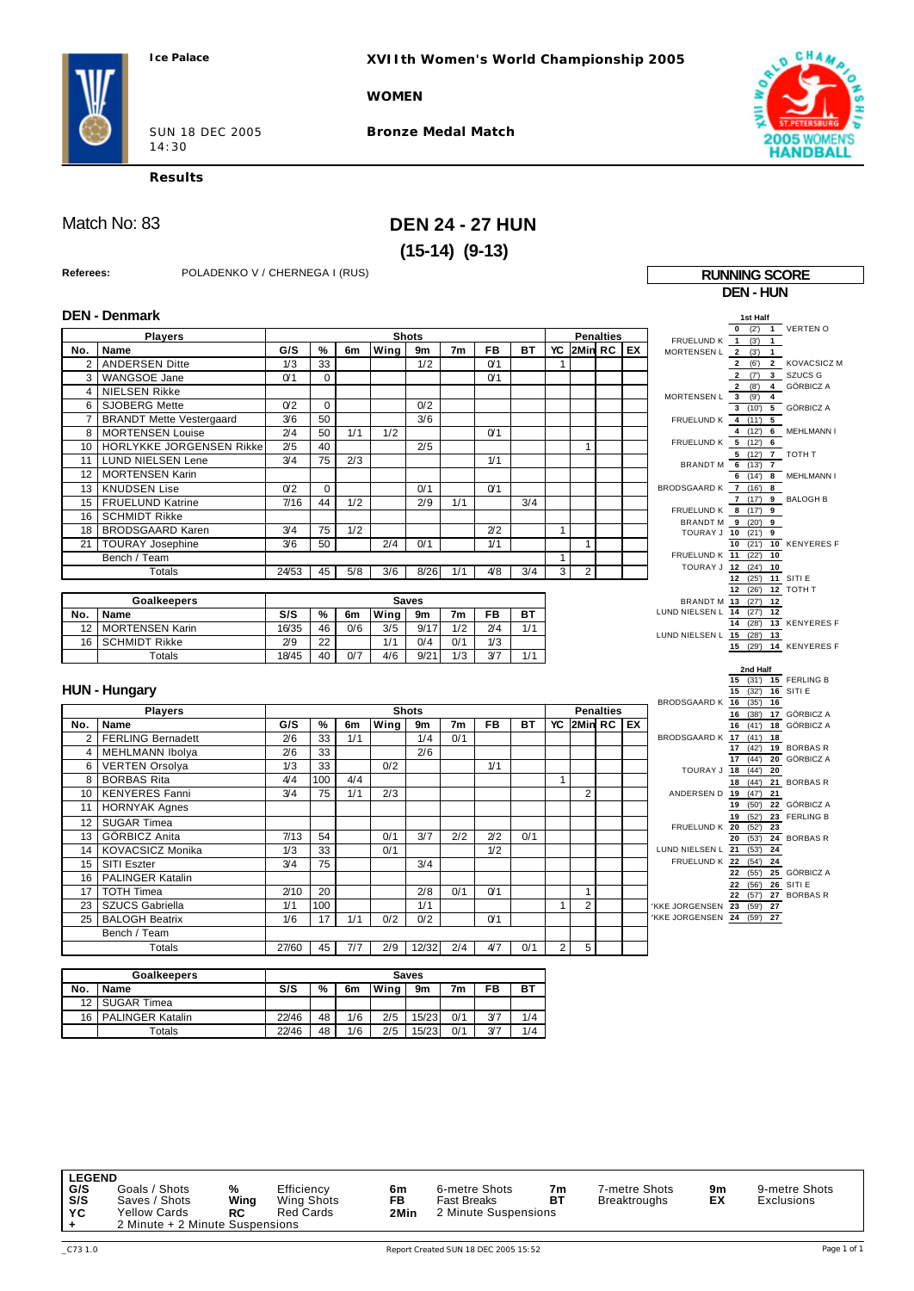**XVIIth Women's World Championship 2005**

**WOMEN**



SUN 18 DEC 2005 14:30

**Bronze Medal Match**

# **Results**

## Match No: 83 **DEN 24 - 27 HUN (15-14) (9-13)**

| Referees:      | POLADENKO V / CHERNEGA I (RUS)        |                |                 |     |            |              |                |                |           |                |                |                  |                                             | <b>RUNNING SCORE</b>              |                            |
|----------------|---------------------------------------|----------------|-----------------|-----|------------|--------------|----------------|----------------|-----------|----------------|----------------|------------------|---------------------------------------------|-----------------------------------|----------------------------|
|                |                                       |                |                 |     |            |              |                |                |           |                |                |                  |                                             | <b>DEN-HUN</b>                    |                            |
|                | <b>DEN - Denmark</b>                  |                |                 |     |            |              |                |                |           |                |                |                  |                                             |                                   |                            |
|                |                                       |                |                 |     |            |              |                |                |           |                |                |                  |                                             | 1st Half<br>$0$ (2') $1$ VERTEN O |                            |
|                | <b>Players</b>                        |                |                 |     |            | <b>Shots</b> |                |                |           |                |                | <b>Penalties</b> | FRUELUND K 1 (3)                            | $\overline{1}$                    |                            |
| No.            | Name                                  | G/S            | %               | 6m  | Wing       | 9m           | 7 <sub>m</sub> | <b>FB</b>      | <b>BT</b> | YC             |                | 2Min  RC   EX    | MORTENSEN L 2 (3')                          | $\overline{1}$                    |                            |
| $\overline{2}$ | <b>ANDERSEN Ditte</b>                 | 1/3            | $\overline{33}$ |     |            | 1/2          |                | O <sub>1</sub> |           | $\mathbf{1}$   |                |                  |                                             | (6')<br>$\mathbf{2}$<br>(7)<br>2  | 2 KOVACSICZ M<br>3 SZUCS G |
| 3              | WANGSOE Jane                          | 0 <sub>1</sub> | $\mathbf 0$     |     |            |              |                | O <sub>1</sub> |           |                |                |                  |                                             | (8)<br>$\mathbf{2}$               | 4 GÖRBICZ A                |
| $\overline{4}$ | <b>NIELSEN Rikke</b>                  |                |                 |     |            |              |                |                |           |                |                |                  | <b>MORTENSEN L</b>                          | 3(9)<br>$\overline{4}$            |                            |
| 6              | <b>SJOBERG Mette</b>                  | 0 <sub>2</sub> | $\Omega$        |     |            | 0/2          |                |                |           |                |                |                  |                                             |                                   | $3$ (10") $5$ GÖRBICZ A    |
| $\overline{7}$ | <b>BRANDT Mette Vestergaard</b>       | 3/6            | 50              |     |            | 3/6          |                |                |           |                |                |                  | FRUELUND K 4 (11') 5                        |                                   | 4 (12') 6 MEHLMANN I       |
| 8              | <b>MORTENSEN Louise</b>               | 2/4            | 50              | 1/1 | 1/2        |              |                | O <sub>1</sub> |           |                |                |                  | FRUELUND K 5 (12')                          | 6                                 |                            |
| 10             | HORLYKKE JORGENSEN Rikke              | 2/5<br>3/4     | 40              |     |            | 2/5          |                | 1/1            |           |                | $\mathbf{1}$   |                  |                                             | $\overline{5}$ (12') 7 TOTH T     |                            |
| 11             | LUND NIELSEN Lene                     |                | 75              | 2/3 |            |              |                |                |           |                |                |                  | <b>BRANDT M</b> 6 (13')                     | $\overline{7}$                    |                            |
| 12             | <b>MORTENSEN Karin</b>                |                |                 |     |            |              |                |                |           |                |                |                  |                                             | 6(14)<br>8                        | 8 MEHLMANN I               |
| 13             | <b>KNUDSEN Lise</b>                   | 0 <sup>2</sup> | $\Omega$        |     |            | 0/1          |                | O <sub>1</sub> |           |                |                |                  | BRODSGAARD K 7 (16')                        | 7(17)                             | 9 BALOGH B                 |
| 15             | <b>FRUELUND Katrine</b>               | $\frac{7}{16}$ | 44              | 1/2 |            | 2/9          | 1/1            |                | 3/4       |                |                |                  | FRUELUND K 8 (17)                           | 9                                 |                            |
| 16             | <b>SCHMIDT Rikke</b>                  |                |                 |     |            |              |                |                |           |                |                |                  | BRANDT M                                    | 9(20)<br>9                        |                            |
| 18             | <b>BRODSGAARD Karen</b>               | 3/4            | 75              | 1/2 |            |              |                | 2/2            |           | $\mathbf{1}$   |                |                  | TOURAY J 10                                 | (21)<br>9                         |                            |
| 21             | <b>TOURAY Josephine</b>               | 3/6            | 50              |     | 2/4        | 0/1          |                | 1/1            |           |                | $\mathbf{1}$   |                  | 10<br>FRUELUND K 11                         | (21)<br>(22')<br>10               | 10 KENYERES F              |
|                | Bench / Team                          |                |                 |     |            |              |                |                |           | $\mathbf{1}$   |                |                  | TOURAY J 12 (24')                           | 10                                |                            |
|                | <b>Totals</b>                         | 24/53          | 45              | 5/8 | 3/6        | 8/26         | 1/1            | 4/8            | 3/4       | 3              | 2              |                  | 12                                          | (25)                              | 11 SITI E                  |
|                |                                       |                |                 |     |            |              |                |                |           |                |                |                  |                                             | 12(26)                            | 12 TOTH T                  |
|                | <b>Goalkeepers</b>                    |                |                 |     |            | <b>Saves</b> |                |                |           |                |                |                  | BRANDT M 13 (27')<br>LUND NIELSEN L 14 (27) | 12<br>12                          |                            |
| No.            | Name                                  | S/S            | %               | 6m  | Wing       | 9m           | 7m             | FB             | BT        |                |                |                  | 14                                          | (28)                              | 13 KENYERES F              |
| 12<br>16       | <b>MORTENSEN Karin</b>                | 16/35<br>2/9   | 46<br>22        | 0/6 | 3/5        | 9/17<br>0/4  | 1/2<br>0/1     | 2/4<br>1/3     | 1/1       |                |                |                  | LUND NIELSEN L                              | $15$ $(28)$<br>13                 |                            |
|                | <b>SCHMIDT Rikke</b><br><b>Totals</b> | 18/45          | 40              | 0/7 | 1/1<br>4/6 | 9/21         | 1/3            | 3/7            | 1/1       |                |                |                  |                                             |                                   | 15 (29') 14 KENYERES F     |
|                |                                       |                |                 |     |            |              |                |                |           |                |                |                  |                                             | 2nd Half                          |                            |
|                |                                       |                |                 |     |            |              |                |                |           |                |                |                  | 15                                          |                                   | (31') 15 FERLING B         |
|                | <b>HUN - Hungary</b>                  |                |                 |     |            |              |                |                |           |                |                |                  | 15                                          | $(32')$ 16 SITI E                 |                            |
|                | <b>Players</b>                        |                |                 |     |            | <b>Shots</b> |                |                |           |                |                | <b>Penalties</b> | BRODSGAARD K 16 (35')                       | 16<br>16 (38')                    | 17 GÖRBICZ A               |
| No.            | Name                                  | G/S            | %               | 6m  | Wing       | 9m           | 7 <sub>m</sub> | <b>FB</b>      | BT        | YC             |                | 2Min RC EX       | 16                                          | (41)                              | 18 GÖRBICZ A               |
| $\overline{2}$ | <b>FERLING Bernadett</b>              | 2/6            | 33              | 1/1 |            | 1/4          | 0/1            |                |           |                |                |                  | <b>BRODSGAARD K</b><br>17                   | (41)<br>18                        |                            |
| $\overline{4}$ | <b>MEHLMANN Ibolya</b>                | 2/6            | 33              |     |            | 2/6          |                |                |           |                |                |                  | 17                                          | (42)                              | 19 BORBAS R                |
| 6              | <b>VERTEN Orsolya</b>                 | 1/3            | $\overline{33}$ |     | 0/2        |              |                | 1/1            |           |                |                |                  | 17                                          | (44)                              | 20 GÖRBICZ A               |
| 8              | <b>BORBAS Rita</b>                    | 4/4            | 100             | 4/4 |            |              |                |                |           | $\mathbf{1}$   |                |                  | TOURAY J 18 (44')                           | 20<br>18(44)                      | 21 BORBAS R                |
| 10             | <b>KENYERES Fanni</b>                 | 3/4            | 75              | 1/1 | 2/3        |              |                |                |           |                | $\overline{2}$ |                  | ANDERSEN D                                  | 19(47)<br>21                      |                            |
| 11             | <b>HORNYAK Agnes</b>                  |                |                 |     |            |              |                |                |           |                |                |                  |                                             | 19 (50')                          | 22 GÖRBICZ A               |
| 12             | <b>SUGAR Timea</b>                    |                |                 |     |            |              |                |                |           |                |                |                  |                                             | 19 (52')                          | 23 FERLING B               |
| 13             | GÖRBICZ Anita                         | 7/13           | 54              |     | 0/1        | 3/7          | 2/2            | 2/2            | 0/1       |                |                |                  | FRUELUND K 20 (52')<br>20                   | 23<br>(53)                        | 24 BORBAS R                |
| 14             | KOVACSICZ Monika                      | 1/3            | 33              |     | 0/1        |              |                | 1/2            |           |                |                |                  | 21<br>LUND NIELSEN L                        | (53)<br>24                        |                            |
| 15             | SITI Eszter                           | 3/4            | $\overline{75}$ |     |            | 3/4          |                |                |           |                |                |                  | FRUELUND K 22 (54')                         | 24                                |                            |
| 16             | <b>PALINGER Katalin</b>               |                |                 |     |            |              |                |                |           |                |                |                  |                                             | 22 (55')                          | 25 GÖRBICZ A               |
| 17             | <b>TOTH Timea</b>                     | 2/10           | 20              |     |            | 2/8          | 0/1            | O <sub>1</sub> |           |                | $\mathbf{1}$   |                  | 22                                          | (56)<br>22 (57') 27 BORBAS R      | 26 SITI E                  |
| 23             | <b>SZUCS Gabriella</b>                | 1/1            | 100             |     |            | 1/1          |                |                |           | $\overline{1}$ | $\overline{2}$ |                  | KKE JORGENSEN 23 (59') 27                   |                                   |                            |
| 25             | <b>BALOGH Beatrix</b>                 | 1/6            | 17              | 1/1 | 0/2        | 0/2          |                | Q'1            |           |                |                |                  | KKE JORGENSEN 24 (59') 27                   |                                   |                            |
|                | Bench / Team                          |                |                 |     |            |              |                |                |           |                |                |                  |                                             |                                   |                            |
|                | Totals                                | 27/60          | 45              | 7/7 | 2/9        | 12/32        | 2/4            | 4/7            | 0/1       | $\overline{2}$ | 5              |                  |                                             |                                   |                            |
|                |                                       |                |                 |     |            |              |                |                |           |                |                |                  |                                             |                                   |                            |

|     | <b>Goalkeepers</b>      |       |    |     |      | <b>Saves</b> |     |     |     |
|-----|-------------------------|-------|----|-----|------|--------------|-----|-----|-----|
| No. | Name                    | S/S   | %  | 6m  | Wing | 9m           | 7m  | FB  | вт  |
| 12  | <b>SUGAR Timea</b>      |       |    |     |      |              |     |     |     |
| 16  | <b>PALINGER Katalin</b> | 22/46 | 48 | 1/6 | 2/5  | 15/23        | 0/1 | 3/7 | 1/4 |
|     | Totals                  | 22/46 | 48 | 1/6 | 2/5  | 15/23        | 0/1 | 3/7 | 1/4 |

**LEGEND<br>G/S** Goals / Shots<br>**S/S** Saves / Shots<br>**YC** Yellow Cards % Efficiency 6m 6-metre Shots 7m 7-metre Shots 9m 9-metre Shots<br> **Wing** Wing Shots FB Fast-Breaks BT Breaktroughs EX Exclusions<br>
RC Red-Cards 2Min 2-Minute-Suspensions **S/S** Saves / Shots **Wing** Wing Shots **FB** Fast Breaks **BT**<br>**PC** Pellow Cards **RC** Red Cards **2Min** 2 Minute Suspensions **YC** Yellow Cards **RC** Red Cards **2Min** 2 Minute Suspensions **+** 2 Minute + 2 Minute Suspensions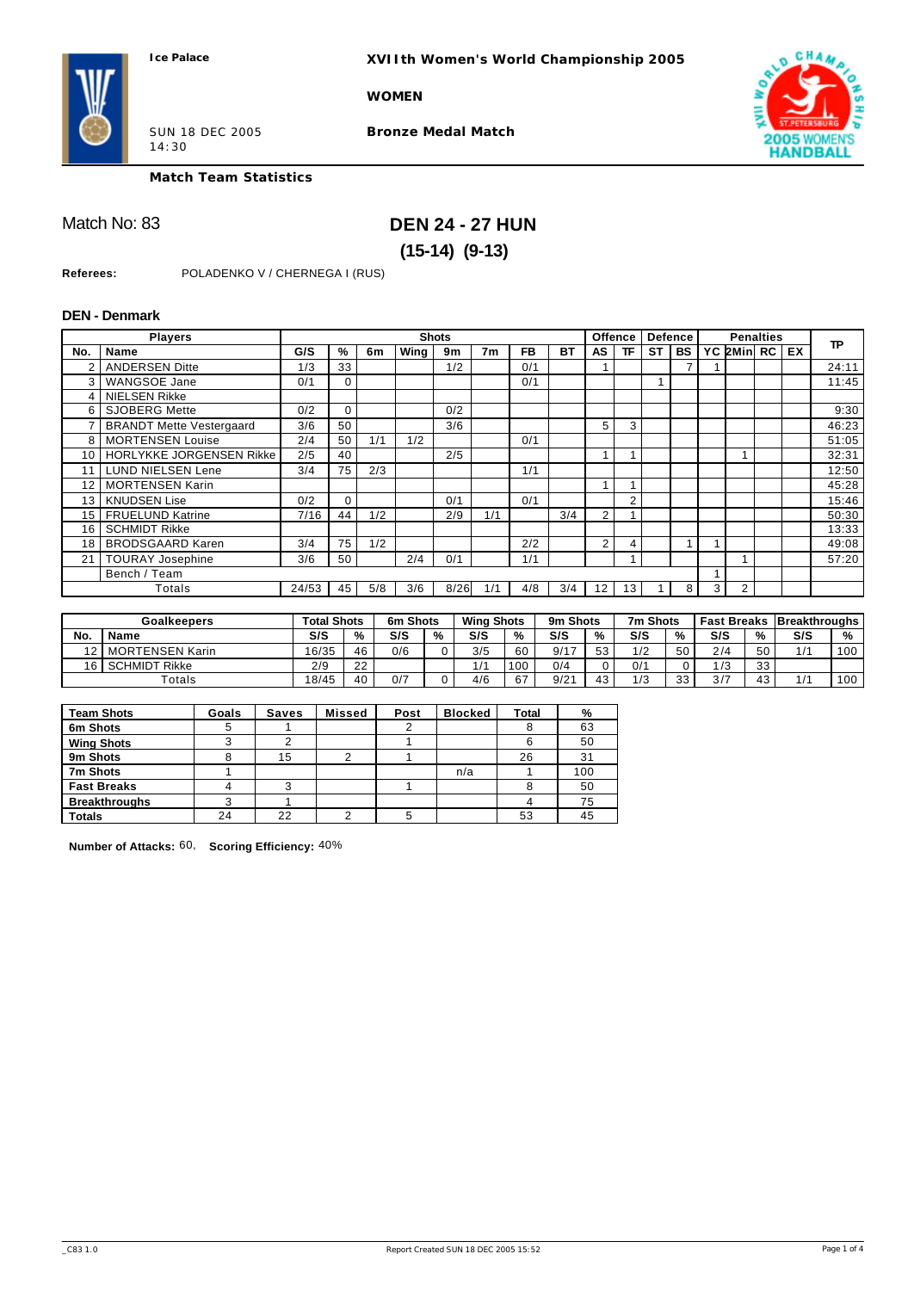**XVIIth Women's World Championship 2005**

### **WOMEN**



SUN 18 DEC 2005 14:30

**Bronze Medal Match**



**Match Team Statistics**

## Match No: 83 **DEN 24 - 27 HUN (15-14) (9-13)**

**Referees:** POLADENKO V / CHERNEGA I (RUS)

## **DEN - Denmark**

|     | <b>Players</b>                  |       |             |     |      | <b>Shots</b> |     |           |           |                | Offence |           | <b>Defence</b> |                |            | <b>Penalties</b> |    |           |
|-----|---------------------------------|-------|-------------|-----|------|--------------|-----|-----------|-----------|----------------|---------|-----------|----------------|----------------|------------|------------------|----|-----------|
| No. | Name                            | G/S   | %           | 6m  | Wing | 9m           | 7m  | <b>FB</b> | <b>BT</b> | AS             | ΤF      | <b>ST</b> | <b>BS</b>      |                | YC 2Min RC |                  | EX | <b>TP</b> |
| 2   | <b>ANDERSEN Ditte</b>           | 1/3   | 33          |     |      | 1/2          |     | 0/1       |           |                |         |           |                |                |            |                  |    | 24:11     |
| 3   | <b>WANGSOE Jane</b>             | 0/1   | 0           |     |      |              |     | 0/1       |           |                |         |           |                |                |            |                  |    | 11:45     |
| 4   | <b>NIELSEN Rikke</b>            |       |             |     |      |              |     |           |           |                |         |           |                |                |            |                  |    |           |
| 6   | <b>SJOBERG Mette</b>            | 0/2   | $\mathbf 0$ |     |      | 0/2          |     |           |           |                |         |           |                |                |            |                  |    | 9:30      |
|     | <b>BRANDT Mette Vestergaard</b> | 3/6   | 50          |     |      | 3/6          |     |           |           | 5              | 3       |           |                |                |            |                  |    | 46:23     |
| 8   | <b>MORTENSEN Louise</b>         | 2/4   | 50          | 1/1 | 1/2  |              |     | 0/1       |           |                |         |           |                |                |            |                  |    | 51:05     |
| 10  | HORLYKKE JORGENSEN Rikke        | 2/5   | 40          |     |      | 2/5          |     |           |           |                |         |           |                |                |            |                  |    | 32:31     |
| 11  | <b>LUND NIELSEN Lene</b>        | 3/4   | 75          | 2/3 |      |              |     | 1/1       |           |                |         |           |                |                |            |                  |    | 12:50     |
| 12  | <b>MORTENSEN Karin</b>          |       |             |     |      |              |     |           |           |                |         |           |                |                |            |                  |    | 45:28     |
| 13  | <b>KNUDSEN Lise</b>             | 0/2   | 0           |     |      | 0/1          |     | 0/1       |           |                | 2       |           |                |                |            |                  |    | 15:46     |
| 15  | <b>FRUELUND Katrine</b>         | 7/16  | 44          | 1/2 |      | 2/9          | 1/1 |           | 3/4       | 2              |         |           |                |                |            |                  |    | 50:30     |
| 16  | <b>SCHMIDT Rikke</b>            |       |             |     |      |              |     |           |           |                |         |           |                |                |            |                  |    | 13:33     |
| 18  | <b>BRODSGAARD Karen</b>         | 3/4   | 75          | 1/2 |      |              |     | 2/2       |           | $\overline{2}$ | 4       |           |                |                |            |                  |    | 49:08     |
| 21  | <b>TOURAY Josephine</b>         | 3/6   | 50          |     | 2/4  | 0/1          |     | 1/1       |           |                |         |           |                |                |            |                  |    | 57:20     |
|     | Bench / Team                    |       |             |     |      |              |     |           |           |                |         |           |                |                |            |                  |    |           |
|     | Totals                          | 24/53 | 45          | 5/8 | 3/6  | 8/26         | 1/1 | 4/8       | 3/4       | 12             | 13      |           | 8              | 3 <sup>1</sup> | 2          |                  |    |           |

|     | Goalkeepers            | <b>Total Shots</b> |                  | 6m Shots |   | <b>Wing Shots</b> |     | 9m Shots |    | 7m Shots |    |              |    | <b>Fast Breaks   Breakthroughs  </b> |     |
|-----|------------------------|--------------------|------------------|----------|---|-------------------|-----|----------|----|----------|----|--------------|----|--------------------------------------|-----|
| No. | Name                   | S/S                | %                | S/S      | % | S/S               | %   | S/S      | %  | S/S      | %  | S/S          | %  | S/S                                  | %   |
|     | <b>MORTENSEN Karin</b> | 16/35              | 46               | 0/6      |   | 3/5               | 60  | 9/17     | 53 | 1/2      | 50 | 2/4          | 50 | 111                                  | 100 |
| 16  | <b>SCHMIDT Rikke</b>   | 2/9                | ົດ<br>$\epsilon$ |          |   | 1/4               | 100 | 0/4      |    | 0/1      |    | /3           | 33 |                                      |     |
|     | $\tau$ otals           | 18/45              | 40               | 0/7      |   | 4/6               | 67  | 9/21     | 43 | 1/3      | 33 | 2/7<br>، ، ب | 43 |                                      | 100 |

| <b>Team Shots</b>    | Goals | <b>Saves</b> | <b>Missed</b> | Post | <b>Blocked</b> | Total | %   |
|----------------------|-------|--------------|---------------|------|----------------|-------|-----|
| 6m Shots             |       |              |               |      |                |       | 63  |
| <b>Wing Shots</b>    |       |              |               |      |                |       | 50  |
| 9m Shots             |       | 15           |               |      |                | 26    | 31  |
| 7m Shots             |       |              |               |      | n/a            |       | 100 |
| <b>Fast Breaks</b>   |       |              |               |      |                |       | 50  |
| <b>Breakthroughs</b> |       |              |               |      |                |       | 75  |
| <b>Totals</b>        | 24    | 22           |               | 5    |                | 53    | 45  |

**Number of Attacks:** 60, **Scoring Efficiency:** 40%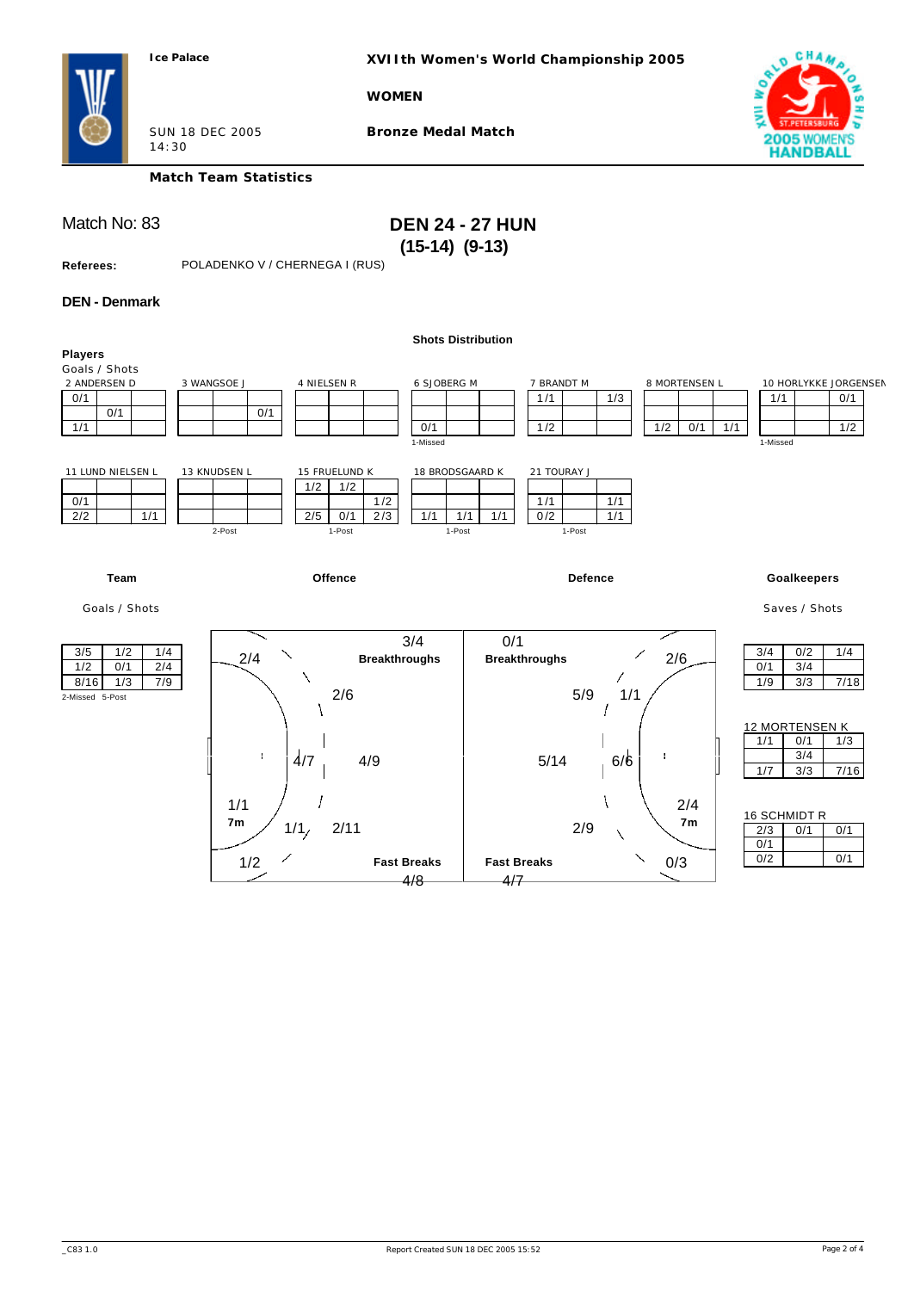**XVIIth Women's World Championship 2005**

## **WOMEN**



SUN 18 DEC 2005 14:30

**Bronze Medal Match**



## Match No: 83 **DEN 24 - 27 HUN (15-14) (9-13)**

**Referees:** POLADENKO V / CHERNEGA I (RUS)

**DEN - Denmark**



4/8

4/7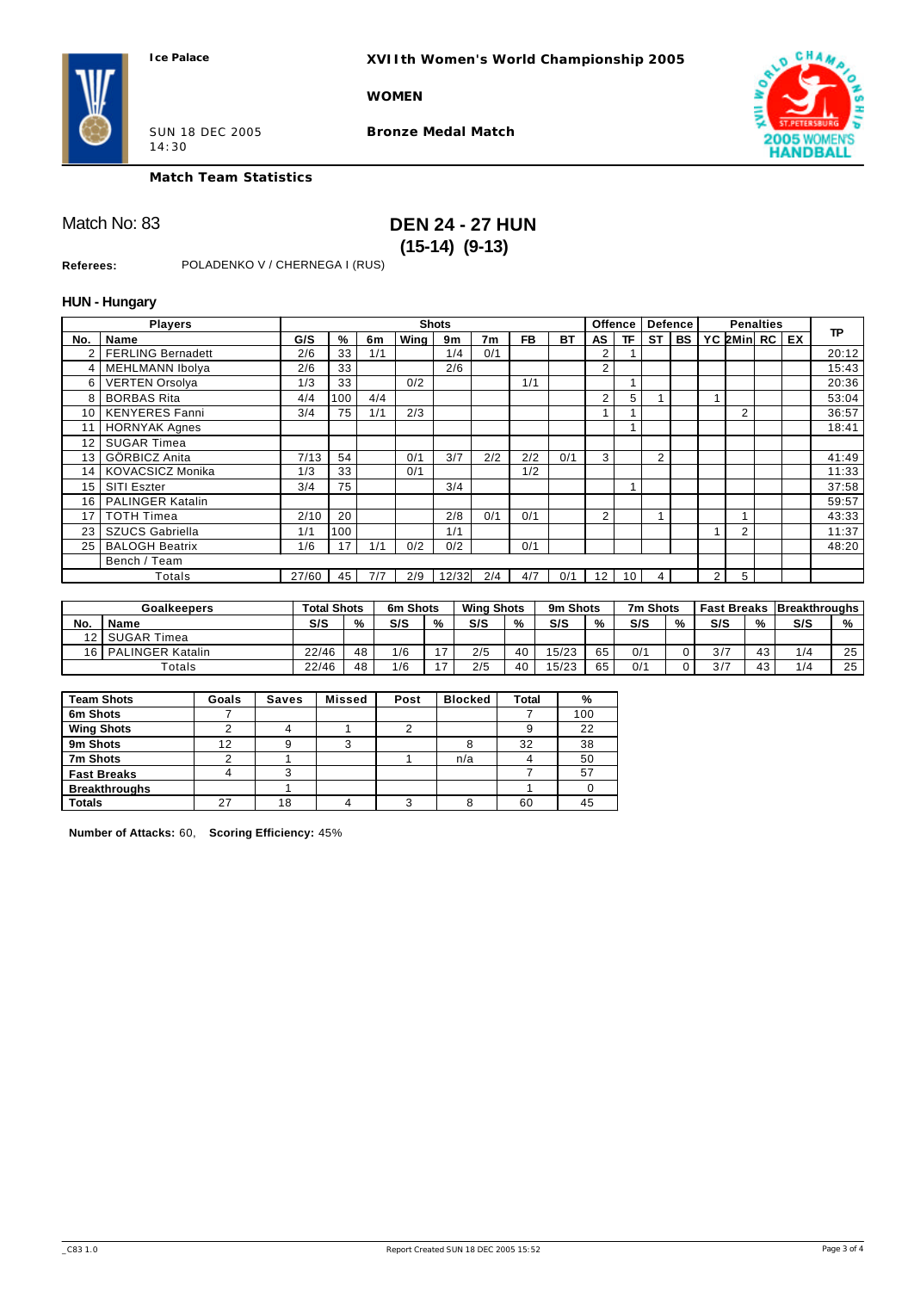

**XVIIth Women's World Championship 2005**

## **WOMEN**



SUN 18 DEC 2005 14:30

**Bronze Medal Match**



**Match Team Statistics**

## Match No: 83 **DEN 24 - 27 HUN (15-14) (9-13)**

**Referees:** POLADENKO V / CHERNEGA I (RUS)

#### **HUN - Hungary Players No. Name Shots G/S % 6m Wing 9m 7m FB BT Offence Defence**  $AS$  **TF**  $ST$  **BS Penalties YC 2Min RC EX TP** 2 FERLING Bernadett 2/6 33 1/1 1/4 0/1 2 1 4 MEHLMANN Ibolya 2/6 33 2/6 2 15:43 6 VERTEN Orsolya 1/3 33 0/2 1/1 1 1 1 20:36 8 BORBAS Rita 4/4 100 4/4 2 5 1 1 1 53:04 10 KENYERES Fanni 3/4 75 1/1 2/3 1 1 1 2 36:57<br>11 HORNYAK Agnes 36:41 11 HORNYAK Agnes 1 18:41 12 SUGAR Timea 13 GÖRBICZ Anita 7/13 54 0/1 3/7 2/2 2/2 0/1 3 2 41:49 14 KOVACSICZ Monika | 1/3 | 33 | 0/1 | | | 1/2 | | | | | | | | | | | | 11:33 15 SITI Eszter 3/4 75 3/4 3/4 3/4 3/4 1 1 1 37:58 16 PALINGER Katalin | | | | | | | | | | | | | | | | 59:57 17 TOTH Timea 2/10 20 2/8 0/1 0/1 2 1 1 1 43:33<br>23 SZUCS Gabriella 1/1 100 1/1 1/1 1 1 1 1 2 1 1:37 23 SZUCS Gabriella 1/1 1/1 100 1 1/1 1/1 1 1 1 1 1 1 2 1 11:37 25 BALOGH Beatrix 1/6 17 1/1 0/2 0/2 0/1 0/1 48:20 Bench / Team Totals 27/60 45 7/7 2/9 12/32 2/4 4/7 0/1 12 10 4 2 5

|                 | <b>Goalkeepers</b>      | <b>Total Shots</b> |    | 6m Shots |   | <b>Wing Shots</b> |    | 9m Shots |    | 7m Shots |   |     |    | <b>Fast Breaks   Breakthroughs</b> |    |
|-----------------|-------------------------|--------------------|----|----------|---|-------------------|----|----------|----|----------|---|-----|----|------------------------------------|----|
| No.             | Name                    | S/S                | %  | S/S      | % | S/S               | %  | S/S      | %  | S/S      | % | S/S | %  | S/S                                | %  |
| 12 <sub>1</sub> | <b>SUGAR Timea</b>      |                    |    |          |   |                   |    |          |    |          |   |     |    |                                    |    |
| 16              | <b>PALINGER Katalin</b> | 22/46              | 48 | 1/6      |   | 2/5               | 40 | 15/23    | 65 | 0/1      |   | 3/7 | 43 |                                    | 25 |
|                 | $\tau$ otals            | 22/46              | 48 | 1/6      |   | 2/5               | 40 | 15/23    | 65 | 0/1      |   | 3/7 | 43 |                                    | 25 |

| <b>Team Shots</b>    | Goals | <b>Saves</b> | <b>Missed</b> | Post | <b>Blocked</b> | <b>Total</b> | %   |
|----------------------|-------|--------------|---------------|------|----------------|--------------|-----|
| 6m Shots             |       |              |               |      |                |              | 100 |
| <b>Wing Shots</b>    |       | 4            |               |      |                |              | 22  |
| 9m Shots             | 12    | 9            | 3             |      |                | 32           | 38  |
| 7m Shots             |       |              |               |      | n/a            |              | 50  |
| <b>Fast Breaks</b>   |       | 3            |               |      |                |              | 57  |
| <b>Breakthroughs</b> |       |              |               |      |                |              |     |
| <b>Totals</b>        | 27    | 18           |               | ◠    |                | 60           | 45  |

**Number of Attacks:** 60, **Scoring Efficiency:** 45%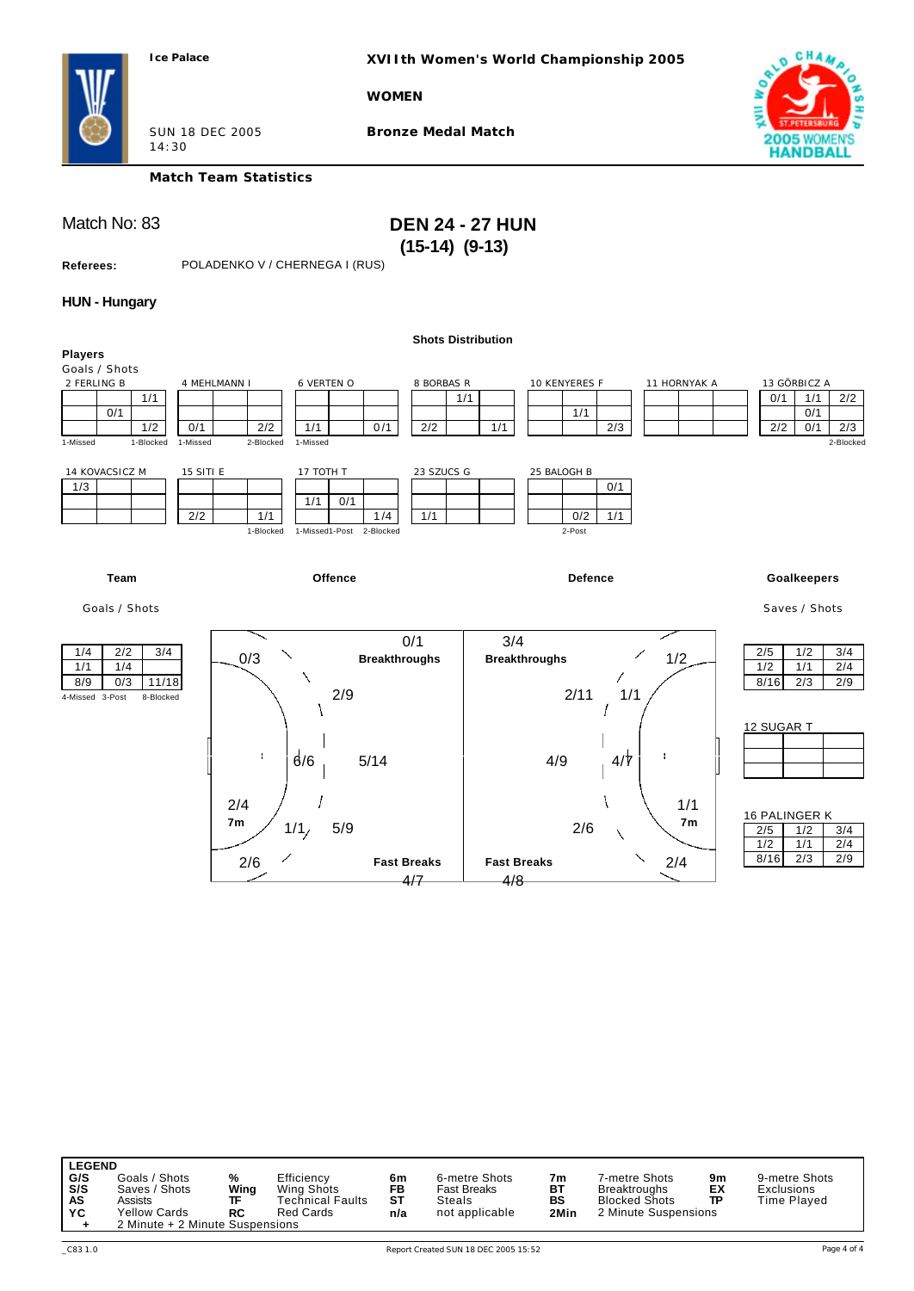**XVIIth Women's World Championship 2005**

#### **WOMEN**



SUN 18 DEC 2005 14:30

**Bronze Medal Match**

**Match Team Statistics**

## Match No: 83 **DEN 24 - 27 HUN (15-14) (9-13)**

**Referees:** POLADENKO V / CHERNEGA I (RUS)

**HUN - Hungary**



**Fast Breaks Fast Breaks** 4/7

|                           | ŕ<br>í |
|---------------------------|--------|
| <b>Fast Breaks</b><br>4/8 |        |
|                           |        |

**LEGEND<br>G/S** Goals / Shots<br>**S/S** Saves / Shots

 **+** 2 Minute + 2 Minute Suspensions

**G/S** Goals / Shots **%** Efficiency **6m** 6-metre Shots **7m** 7-metre Shots **9m** 9-metre Shots **S/S** Saves / Shots **Wing** Wing Shots **FB** Fast Breaks **BT** Breaktroughs **EX** Exclusions **AS** Assists **TF** Technical Faults **ST** Steals **BS** Blocked Shots **TP** Time Played

**YC** Yellow Cards *CIS* Yellow Cards *CIS* Saves / Shots Wing Wing Shots FB Fast Breaks BT Breaktroughs EX<br> **AS** Assists **TF** Technical Faults **ST** Steals BS Blocked Shots **TP**<br> **PC** Yellow Cards RC Red Cards **n/a** not app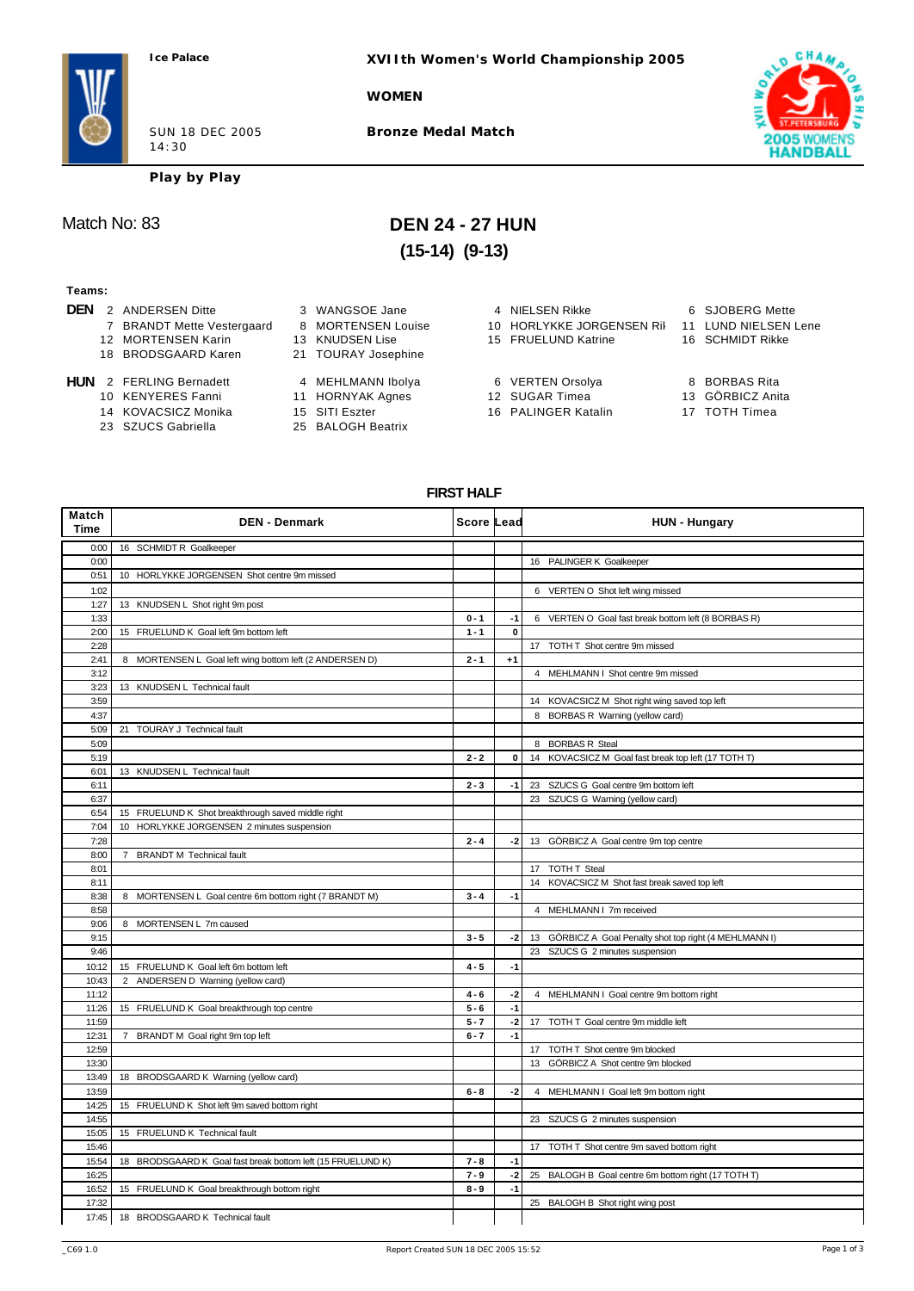**XVIIth Women's World Championship 2005**

**WOMEN**



SUN 18 DEC 2005 14:30

**Bronze Medal Match**



**Play by Play**

## Match No: 83 **DEN 24 - 27 HUN (15-14) (9-13)**

## **Teams:**

| DEN | 2 ANDERSEN Ditte           | 3 WANGSOE Jane      | 4 NIELSEN Rikke           |    | 6 SJOBERG Mette   |
|-----|----------------------------|---------------------|---------------------------|----|-------------------|
|     | 7 BRANDT Mette Vestergaard | 8 MORTENSEN Louise  | 10 HORLYKKE JORGENSEN Ril | 11 | LUND NIELSEN Lene |
|     | 12 MORTENSEN Karin         | 13 KNUDSEN Lise     | 15 FRUELUND Katrine       |    | 16 SCHMIDT Rikke  |
|     | 18 BRODSGAARD Karen        | 21 TOURAY Josephine |                           |    |                   |
|     | HUN 2 FERLING Bernadett    | 4 MEHLMANN Ibolya   | 6 VERTEN Orsolya          |    | 8 BORBAS Rita     |
|     | 10 KENYERES Fanni          | 11 HORNYAK Agnes    | 12 SUGAR Timea            |    | 13 GÖRBICZ Anita  |
|     | 14 KOVACSICZ Monika        | 15 SITI Eszter      | 16 PALINGER Katalin       |    | 17 TOTH Timea     |
|     | 23 SZUCS Gabriella         | 25 BALOGH Beatrix   |                           |    |                   |

- 
- 

## **FIRST HALF**

| Match<br>Time | <b>DEN - Denmark</b>                                        | Score Lead |              | <b>HUN - Hungary</b>                                    |
|---------------|-------------------------------------------------------------|------------|--------------|---------------------------------------------------------|
| 0:00          | 16 SCHMIDT R Goalkeeper                                     |            |              |                                                         |
| 0:00          |                                                             |            |              | 16 PALINGER K Goalkeeper                                |
| 0:51          | 10 HORLYKKE JORGENSEN Shot centre 9m missed                 |            |              |                                                         |
| 1:02          |                                                             |            |              | 6 VERTEN O Shot left wing missed                        |
| 1:27          | 13 KNUDSEN L Shot right 9m post                             |            |              |                                                         |
| 1:33          |                                                             | $0 - 1$    | $-1$         | 6 VERTEN O Goal fast break bottom left (8 BORBAS R)     |
| 2:00          | 15 FRUELUND K Goal left 9m bottom left                      | $1 - 1$    | $\mathbf 0$  |                                                         |
| 2:28          |                                                             |            |              | 17 TOTH T Shot centre 9m missed                         |
| 2:41          | 8 MORTENSEN L Goal left wing bottom left (2 ANDERSEN D)     | $2 - 1$    | $+1$         |                                                         |
| 3:12          |                                                             |            |              | 4 MEHLMANN I Shot centre 9m missed                      |
| 3:23          | 13 KNUDSEN L Technical fault                                |            |              |                                                         |
| 3:59          |                                                             |            |              | 14 KOVACSICZ M Shot right wing saved top left           |
| 4:37          |                                                             |            |              | 8 BORBAS R Warning (yellow card)                        |
| 5:09          | 21 TOURAY J Technical fault                                 |            |              |                                                         |
| 5:09          |                                                             |            |              | 8 BORBAS R Steal                                        |
| 5:19          |                                                             | $2 - 2$    | $\mathbf{0}$ | 14 KOVACSICZ M Goal fast break top left (17 TOTH T)     |
| 6:01          | 13 KNUDSEN L Technical fault                                |            |              |                                                         |
| 6:11          |                                                             | $2 - 3$    | $-1$         | 23 SZUCS G Goal centre 9m bottom left                   |
| 6:37          |                                                             |            |              | 23 SZUCS G Warning (yellow card)                        |
| 6:54          | 15 FRUELUND K Shot breakthrough saved middle right          |            |              |                                                         |
| 7:04          | 10 HORLYKKE JORGENSEN 2 minutes suspension                  |            |              |                                                         |
| 7:28          |                                                             | $2 - 4$    | -21          | 13 GÖRBICZ A Goal centre 9m top centre                  |
| 8:00          | 7 BRANDT M Technical fault                                  |            |              |                                                         |
| 8:01          |                                                             |            |              | 17 TOTH T Steal                                         |
| 8:11          |                                                             |            |              | 14 KOVACSICZ M Shot fast break saved top left           |
| 8:38          | 8 MORTENSEN L Goal centre 6m bottom right (7 BRANDT M)      | $3 - 4$    | $-1$         |                                                         |
| 8:58          |                                                             |            |              | 4 MEHLMANN   7m received                                |
| 9:06          | 8 MORTENSEN L 7m caused                                     |            |              |                                                         |
| 9:15          |                                                             | $3 - 5$    | $-2$         | 13 GÖRBICZ A Goal Penalty shot top right (4 MEHLMANN I) |
| 9:46          |                                                             |            |              | 23 SZUCS G 2 minutes suspension                         |
| 10:12         | 15 FRUELUND K Goal left 6m bottom left                      | $4 - 5$    | $-1$         |                                                         |
| 10:43         | 2 ANDERSEN D Warning (yellow card)                          |            |              |                                                         |
| 11:12         |                                                             | $4 - 6$    | $-2$         | 4 MEHLMANN I Goal centre 9m bottom right                |
| 11:26         | 15 FRUELUND K Goal breakthrough top centre                  | $5 - 6$    | $-1$         |                                                         |
| 11:59         |                                                             | $5 - 7$    | $-2$         | 17 TOTH T Goal centre 9m middle left                    |
| 12:31         | 7 BRANDT M Goal right 9m top left                           | $6 - 7$    | $-1$         |                                                         |
| 12:59         |                                                             |            |              | 17 TOTH T Shot centre 9m blocked                        |
| 13:30         |                                                             |            |              | 13 GÖRBICZ A Shot centre 9m blocked                     |
| 13:49         | 18 BRODSGAARD K Warning (yellow card)                       |            |              |                                                         |
| 13:59         |                                                             | $6 - 8$    | $-2$         | 4 MEHLMANN I Goal left 9m bottom right                  |
| 14:25         | 15 FRUELUND K Shot left 9m saved bottom right               |            |              |                                                         |
| 14:55         |                                                             |            |              | 23 SZUCS G 2 minutes suspension                         |
| 15:05         | 15 FRUELUND K Technical fault                               |            |              |                                                         |
| 15:46         |                                                             |            |              | 17 TOTH T Shot centre 9m saved bottom right             |
| 15:54         | 18 BRODSGAARD K Goal fast break bottom left (15 FRUELUND K) | $7 - 8$    | $-1$         |                                                         |
| 16:25         |                                                             | $7 - 9$    | $-2$         | 25 BALOGH B Goal centre 6m bottom right (17 TOTH T)     |
| 16:52         | 15 FRUELUND K Goal breakthrough bottom right                | $8 - 9$    | $-1$         |                                                         |
| 17:32         |                                                             |            |              | 25 BALOGH B Shot right wing post                        |
| 17:45         | 18 BRODSGAARD K Technical fault                             |            |              |                                                         |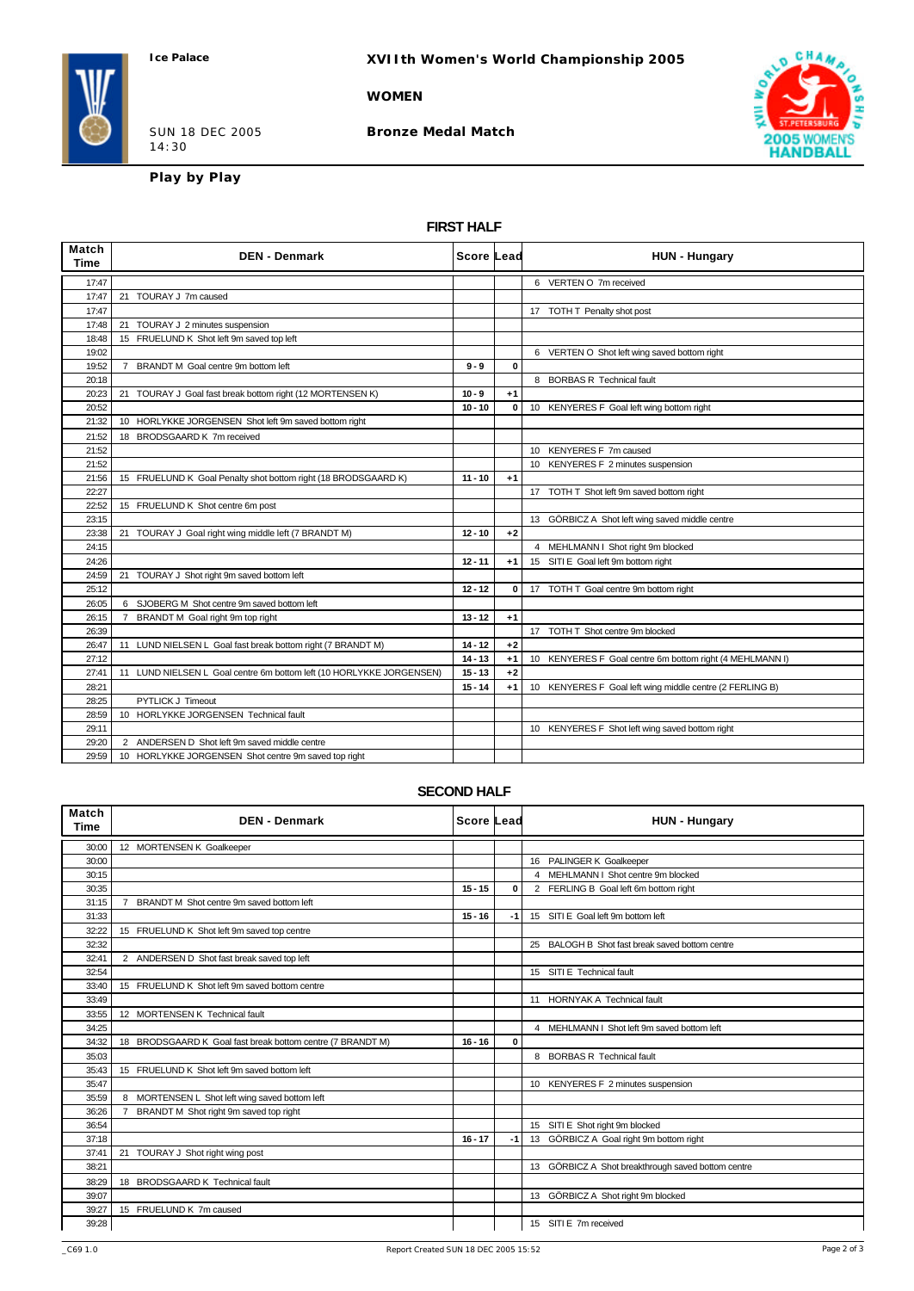## **WOMEN**

SUN 18 DEC 2005 14:30

**Bronze Medal Match**



**Play by Play**

## **FIRST HALF**

| Match<br>Time | <b>DEN - Denmark</b>                                                 | <b>Score Lead</b> |              | <b>HUN - Hungary</b>                                     |
|---------------|----------------------------------------------------------------------|-------------------|--------------|----------------------------------------------------------|
| 17:47         |                                                                      |                   |              | 6 VERTEN O 7m received                                   |
| 17:47         | 21 TOURAY J 7m caused                                                |                   |              |                                                          |
| 17:47         |                                                                      |                   |              | 17 TOTH T Penalty shot post                              |
| 17:48         | 21 TOURAY J 2 minutes suspension                                     |                   |              |                                                          |
| 18:48         | 15 FRUELUND K Shot left 9m saved top left                            |                   |              |                                                          |
| 19:02         |                                                                      |                   |              | 6 VERTEN O Shot left wing saved bottom right             |
| 19:52         | BRANDT M Goal centre 9m bottom left<br>$\overline{7}$                | $9 - 9$           | $\mathbf{0}$ |                                                          |
| 20:18         |                                                                      |                   |              | 8 BORBAS R Technical fault                               |
| 20:23         | 21 TOURAY J Goal fast break bottom right (12 MORTENSEN K)            | $10 - 9$          | $+1$         |                                                          |
| 20:52         |                                                                      | $10 - 10$         | $\bf{0}$     | 10 KENYERES F Goal left wing bottom right                |
| 21:32         | 10 HORLYKKE JORGENSEN Shot left 9m saved bottom right                |                   |              |                                                          |
| 21:52         | 18 BRODSGAARD K 7m received                                          |                   |              |                                                          |
| 21:52         |                                                                      |                   |              | 10 KENYERES F 7m caused                                  |
| 21:52         |                                                                      |                   |              | 10 KENYERES F 2 minutes suspension                       |
| 21:56         | 15 FRUELUND K Goal Penalty shot bottom right (18 BRODSGAARD K)       | $11 - 10$         | $+1$         |                                                          |
| 22:27         |                                                                      |                   |              | 17 TOTH T Shot left 9m saved bottom right                |
| 22:52         | 15 FRUELUND K Shot centre 6m post                                    |                   |              |                                                          |
| 23:15         |                                                                      |                   |              | 13 GÖRBICZ A Shot left wing saved middle centre          |
| 23:38         | 21 TOURAY J Goal right wing middle left (7 BRANDT M)                 | $12 - 10$         | $+2$         |                                                          |
| 24:15         |                                                                      |                   |              | 4 MEHLMANN I Shot right 9m blocked                       |
| 24:26         |                                                                      | $12 - 11$         | $+1$         | 15 SITI E Goal left 9m bottom right                      |
| 24:59         | 21 TOURAY J Shot right 9m saved bottom left                          |                   |              |                                                          |
| 25:12         |                                                                      | $12 - 12$         | $\mathbf{0}$ | 17 TOTH T Goal centre 9m bottom right                    |
| 26:05         | 6 SJOBERG M Shot centre 9m saved bottom left                         |                   |              |                                                          |
| 26:15         | BRANDT M Goal right 9m top right<br>7                                | $13 - 12$         | $+1$         |                                                          |
| 26:39         |                                                                      |                   |              | 17 TOTH T Shot centre 9m blocked                         |
| 26:47         | 11 LUND NIELSEN L Goal fast break bottom right (7 BRANDT M)          | $14 - 12$         | $+2$         |                                                          |
| 27:12         |                                                                      | $14 - 13$         | $+1$         | 10 KENYERES F Goal centre 6m bottom right (4 MEHLMANN I) |
| 27:41         | 11 LUND NIELSEN L Goal centre 6m bottom left (10 HORLYKKE JORGENSEN) | $15 - 13$         | $+2$         |                                                          |
| 28:21         |                                                                      | $15 - 14$         | $+1$         | 10 KENYERES F Goal left wing middle centre (2 FERLING B) |
| 28:25         | PYTLICK J Timeout                                                    |                   |              |                                                          |
| 28:59         | 10 HORLYKKE JORGENSEN Technical fault                                |                   |              |                                                          |
| 29:11         |                                                                      |                   |              | 10 KENYERES F Shot left wing saved bottom right          |
| 29:20         | 2 ANDERSEN D Shot left 9m saved middle centre                        |                   |              |                                                          |
| 29:59         | 10 HORLYKKE JORGENSEN Shot centre 9m saved top right                 |                   |              |                                                          |

## **SECOND HALF**

| Match<br>Time | <b>DEN - Denmark</b>                                       | <b>Score Lead</b> |    | <b>HUN - Hungary</b>                               |
|---------------|------------------------------------------------------------|-------------------|----|----------------------------------------------------|
| 30:00         | 12 MORTENSEN K Goalkeeper                                  |                   |    |                                                    |
| 30:00         |                                                            |                   |    | 16 PALINGER K Goalkeeper                           |
| 30:15         |                                                            |                   |    | 4 MEHLMANN I Shot centre 9m blocked                |
| 30:35         |                                                            | $15 - 15$         | 0  | 2 FERLING B Goal left 6m bottom right              |
| 31:15         | BRANDT M Shot centre 9m saved bottom left                  |                   |    |                                                    |
| 31:33         |                                                            | $15 - 16$         | -1 | 15 SITI E Goal left 9m bottom left                 |
| 32:22         | 15 FRUELUND K Shot left 9m saved top centre                |                   |    |                                                    |
| 32:32         |                                                            |                   |    | 25 BALOGH B Shot fast break saved bottom centre    |
| 32:41         | 2 ANDERSEN D Shot fast break saved top left                |                   |    |                                                    |
| 32:54         |                                                            |                   |    | 15 SITI E Technical fault                          |
| 33:40         | 15 FRUELUND K Shot left 9m saved bottom centre             |                   |    |                                                    |
| 33:49         |                                                            |                   |    | 11 HORNYAK A Technical fault                       |
| 33:55         | 12 MORTENSEN K Technical fault                             |                   |    |                                                    |
| 34:25         |                                                            |                   |    | 4 MEHLMANN I Shot left 9m saved bottom left        |
| 34:32         | 18 BRODSGAARD K Goal fast break bottom centre (7 BRANDT M) | $16 - 16$         | 0  |                                                    |
| 35:03         |                                                            |                   |    | 8 BORBAS R Technical fault                         |
| 35:43         | 15 FRUELUND K Shot left 9m saved bottom left               |                   |    |                                                    |
| 35:47         |                                                            |                   |    | 10 KENYERES F 2 minutes suspension                 |
| 35:59         | 8 MORTENSEN L Shot left wing saved bottom left             |                   |    |                                                    |
| 36:26         | BRANDT M Shot right 9m saved top right                     |                   |    |                                                    |
| 36:54         |                                                            |                   |    | 15 SITI E Shot right 9m blocked                    |
| 37:18         |                                                            | $16 - 17$         | -1 | 13 GÖRBICZ A Goal right 9m bottom right            |
| 37:41         | 21 TOURAY J Shot right wing post                           |                   |    |                                                    |
| 38:21         |                                                            |                   |    | 13 GÖRBICZ A Shot breakthrough saved bottom centre |
| 38:29         | 18 BRODSGAARD K Technical fault                            |                   |    |                                                    |
| 39:07         |                                                            |                   |    | 13 GÖRBICZ A Shot right 9m blocked                 |
| 39:27         | 15 FRUELUND K 7m caused                                    |                   |    |                                                    |
| 39:28         |                                                            |                   |    | 15 SITI E 7m received                              |